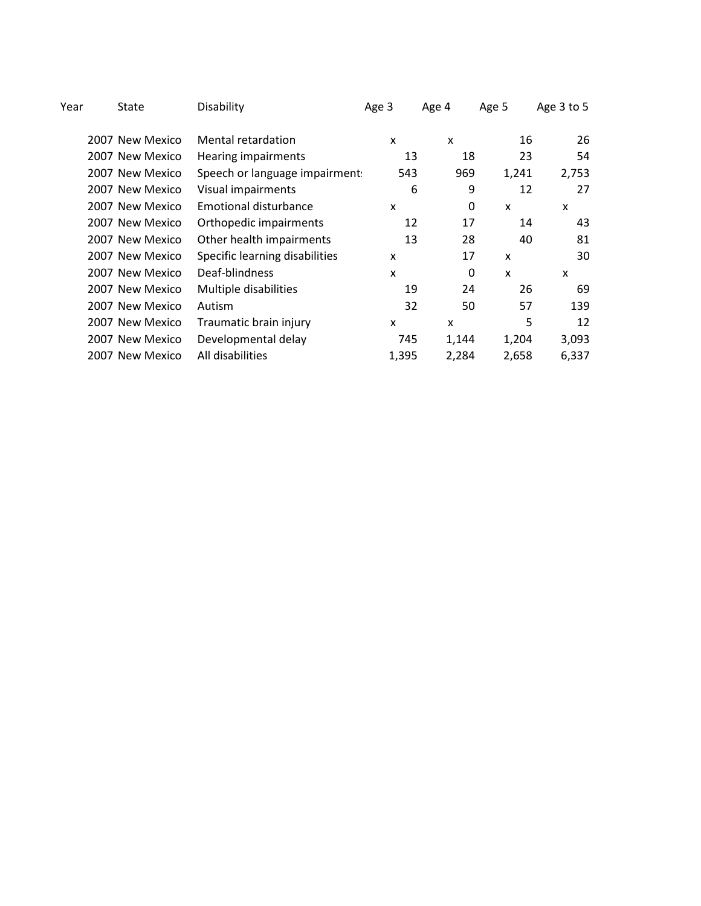| State | Disability                                                                                                                                                                                                                                                             | Age 3                     | Age 4                          | Age 5        | Age 3 to 5                                                  |
|-------|------------------------------------------------------------------------------------------------------------------------------------------------------------------------------------------------------------------------------------------------------------------------|---------------------------|--------------------------------|--------------|-------------------------------------------------------------|
|       | Mental retardation                                                                                                                                                                                                                                                     | X                         | X                              |              | 26                                                          |
|       | <b>Hearing impairments</b>                                                                                                                                                                                                                                             | 13                        | 18                             |              | 54                                                          |
|       |                                                                                                                                                                                                                                                                        | 543                       | 969                            |              | 2,753                                                       |
|       | Visual impairments                                                                                                                                                                                                                                                     | 6                         | 9                              |              | 27                                                          |
|       | Emotional disturbance                                                                                                                                                                                                                                                  | X                         | 0                              | X            | X                                                           |
|       | Orthopedic impairments                                                                                                                                                                                                                                                 | 12                        | 17                             |              | 43                                                          |
|       | Other health impairments                                                                                                                                                                                                                                               | 13                        | 28                             |              | 81                                                          |
|       | Specific learning disabilities                                                                                                                                                                                                                                         | X                         | 17                             | X            | 30                                                          |
|       | Deaf-blindness                                                                                                                                                                                                                                                         | $\boldsymbol{\mathsf{x}}$ | 0                              | $\mathsf{x}$ | X                                                           |
|       | Multiple disabilities                                                                                                                                                                                                                                                  | 19                        | 24                             |              | 69                                                          |
|       | Autism                                                                                                                                                                                                                                                                 | 32                        | 50                             | 57           | 139                                                         |
|       | Traumatic brain injury                                                                                                                                                                                                                                                 | X                         | X                              | 5            | 12                                                          |
|       | Developmental delay                                                                                                                                                                                                                                                    | 745                       | 1,144                          |              | 3,093                                                       |
|       | All disabilities                                                                                                                                                                                                                                                       | 1,395                     | 2,284                          |              | 6,337                                                       |
|       | 2007 New Mexico<br>2007 New Mexico<br>2007 New Mexico<br>2007 New Mexico<br>2007 New Mexico<br>2007 New Mexico<br>2007 New Mexico<br>2007 New Mexico<br>2007 New Mexico<br>2007 New Mexico<br>2007 New Mexico<br>2007 New Mexico<br>2007 New Mexico<br>2007 New Mexico |                           | Speech or language impairment: |              | 16<br>23<br>1,241<br>12<br>14<br>40<br>26<br>1,204<br>2,658 |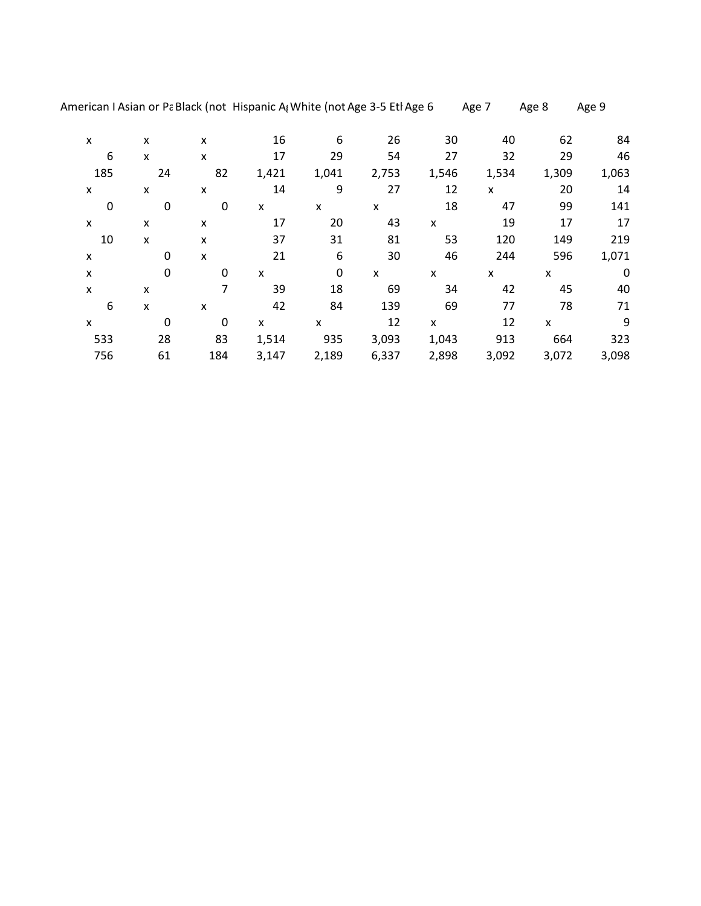American I Asian or Pa Black (not Hispanic A<sub>l</sub> White (not Age 3-5 Etl Age 6 Age 7 Age 8 Age 9

| X   | x        | X                         | 16    | 6           | 26    | 30                        | 40    | 62    | 84          |
|-----|----------|---------------------------|-------|-------------|-------|---------------------------|-------|-------|-------------|
| 6   | x        | x                         | 17    | 29          | 54    | 27                        | 32    | 29    | 46          |
| 185 | 24       | 82                        | 1,421 | 1,041       | 2,753 | 1,546                     | 1,534 | 1,309 | 1,063       |
| X   | X        | $\boldsymbol{\mathsf{x}}$ | 14    | 9           | 27    | 12                        | X     | 20    | 14          |
| 0   | 0        | $\mathbf 0$               | X     | X           | X     | 18                        | 47    | 99    | 141         |
| X   | X        | X                         | 17    | 20          | 43    | $\boldsymbol{\mathsf{x}}$ | 19    | 17    | 17          |
| 10  | X        | X                         | 37    | 31          | 81    | 53                        | 120   | 149   | 219         |
| X   | 0        | $\pmb{\times}$            | 21    | 6           | 30    | 46                        | 244   | 596   | 1,071       |
| X   | $\Omega$ | $\mathbf 0$               | X     | $\mathbf 0$ | X     | X                         | x     | X     | $\mathbf 0$ |
| X   | x        | 7                         | 39    | 18          | 69    | 34                        | 42    | 45    | 40          |
| 6   | X        | X                         | 42    | 84          | 139   | 69                        | 77    | 78    | 71          |
| X   | 0        | $\mathbf 0$               | X     | X           | 12    | X                         | 12    | X     | 9           |
| 533 | 28       | 83                        | 1,514 | 935         | 3,093 | 1,043                     | 913   | 664   | 323         |
| 756 | 61       | 184                       | 3,147 | 2,189       | 6,337 | 2,898                     | 3,092 | 3,072 | 3,098       |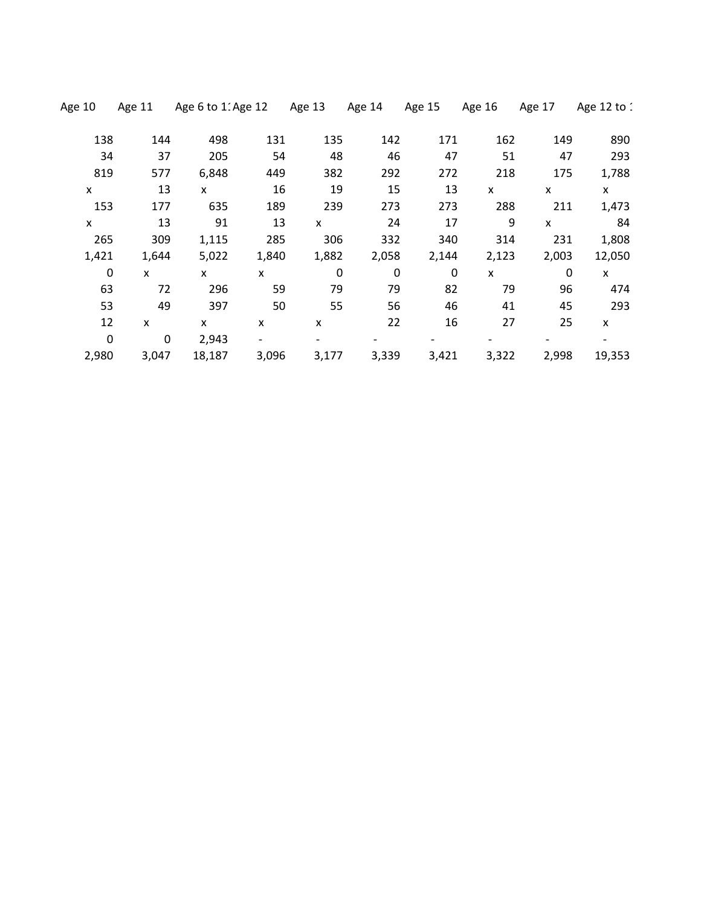| Age 10      | Age 11 | Age 6 to 1. Age 12 |       | Age 13                    | Age 14 | Age 15 | Age 16 | Age 17      | Age 12 to 1  |
|-------------|--------|--------------------|-------|---------------------------|--------|--------|--------|-------------|--------------|
| 138         | 144    | 498                | 131   | 135                       | 142    | 171    | 162    | 149         | 890          |
| 34          | 37     | 205                | 54    | 48                        | 46     | 47     | 51     | 47          | 293          |
| 819         | 577    | 6,848              | 449   | 382                       | 292    | 272    | 218    | 175         | 1,788        |
| X           | 13     | X                  | 16    | 19                        | 15     | 13     | x      | X           | $\mathsf{x}$ |
| 153         | 177    | 635                | 189   | 239                       | 273    | 273    | 288    | 211         | 1,473        |
| X           | 13     | 91                 | 13    | X                         | 24     | 17     | 9      | X           | 84           |
| 265         | 309    | 1,115              | 285   | 306                       | 332    | 340    | 314    | 231         | 1,808        |
| 1,421       | 1,644  | 5,022              | 1,840 | 1,882                     | 2,058  | 2,144  | 2,123  | 2,003       | 12,050       |
| $\mathbf 0$ | X      | X                  | X     | $\mathbf 0$               | 0      | 0      | X      | $\mathbf 0$ | $\mathsf{x}$ |
| 63          | 72     | 296                | 59    | 79                        | 79     | 82     | 79     | 96          | 474          |
| 53          | 49     | 397                | 50    | 55                        | 56     | 46     | 41     | 45          | 293          |
| 12          | X      | X                  | X     | $\boldsymbol{\mathsf{x}}$ | 22     | 16     | 27     | 25          | X            |
| $\mathbf 0$ | 0      | 2,943              |       |                           |        |        |        |             |              |
| 2,980       | 3,047  | 18,187             | 3,096 | 3,177                     | 3,339  | 3,421  | 3,322  | 2,998       | 19,353       |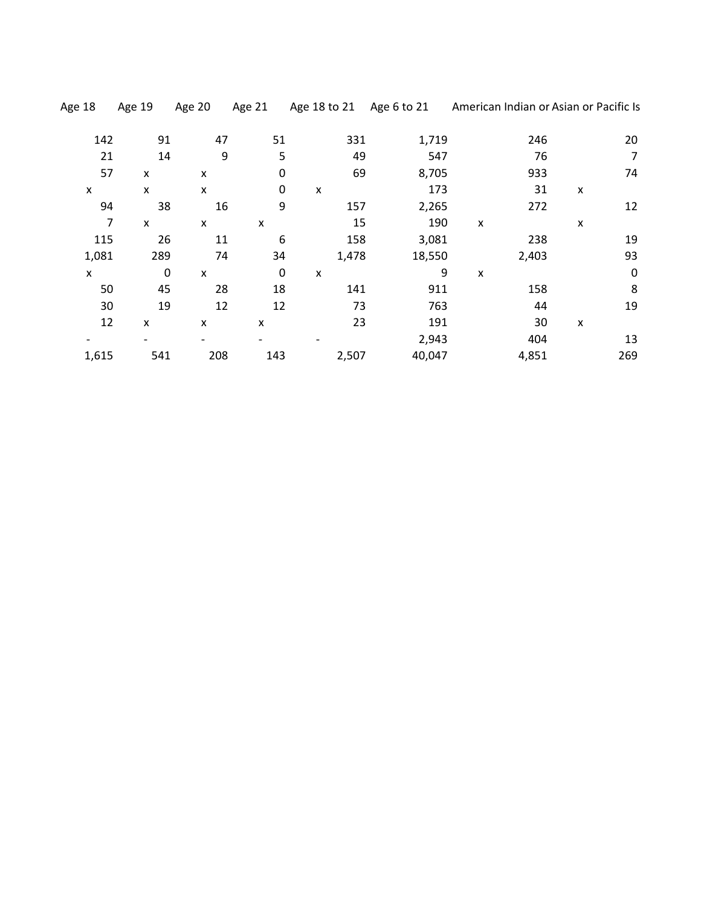| Age 18 | Age 19                    | Age 20         | Age 21           | Age 18 to 21              | Age 6 to 21 | American Indian or Asian or Pacific Is |                |             |
|--------|---------------------------|----------------|------------------|---------------------------|-------------|----------------------------------------|----------------|-------------|
| 142    | 91                        | 47             | 51               | 331                       | 1,719       | 246                                    |                | 20          |
| 21     | 14                        | 9              | 5                | 49                        | 547         | 76                                     |                | 7           |
| 57     | X                         | X              | $\boldsymbol{0}$ | 69                        | 8,705       | 933                                    |                | 74          |
| X      | $\boldsymbol{\mathsf{x}}$ | X              | 0                | $\boldsymbol{\mathsf{x}}$ | 173         | 31                                     | X              |             |
| 94     | 38                        | 16             | 9                | 157                       | 2,265       | 272                                    |                | 12          |
| 7      | X                         | X              | x                | 15                        | 190         | $\pmb{\mathsf{x}}$                     | X              |             |
| 115    | 26                        | 11             | 6                | 158                       | 3,081       | 238                                    |                | 19          |
| 1,081  | 289                       | 74             | 34               | 1,478                     | 18,550      | 2,403                                  |                | 93          |
| X      | $\mathbf 0$               | $\pmb{\times}$ | $\boldsymbol{0}$ | $\boldsymbol{\mathsf{x}}$ | 9           | x                                      |                | $\mathbf 0$ |
| 50     | 45                        | 28             | 18               | 141                       | 911         | 158                                    |                | 8           |
| 30     | 19                        | 12             | 12               | 73                        | 763         | 44                                     |                | 19          |
| 12     | $\pmb{\times}$            | X              | x                | 23                        | 191         | 30                                     | $\pmb{\times}$ |             |
|        |                           |                |                  |                           | 2,943       | 404                                    |                | 13          |
| 1,615  | 541                       | 208            | 143              | 2,507                     | 40,047      | 4,851                                  |                | 269         |